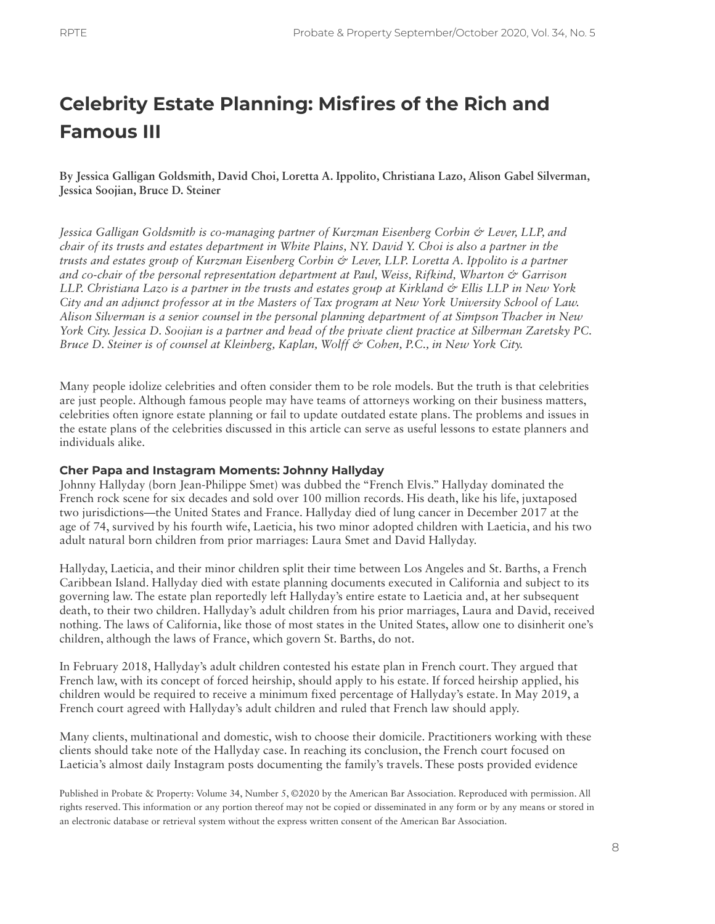# **Celebrity Estate Planning: Misfires of the Rich and Famous III**

**By Jessica Galligan Goldsmith, David Choi, Loretta A. Ippolito, Christiana Lazo, Alison Gabel Silverman, Jessica Soojian, Bruce D. Steiner**

*Jessica Galligan Goldsmith is co-managing partner of Kurzman Eisenberg Corbin & Lever, LLP, and chair of its trusts and estates department in White Plains, NY. David Y. Choi is also a partner in the trusts and estates group of Kurzman Eisenberg Corbin & Lever, LLP. Loretta A. Ippolito is a partner and co-chair of the personal representation department at Paul, Weiss, Rifkind, Wharton & Garrison LLP. Christiana Lazo is a partner in the trusts and estates group at Kirkland & Ellis LLP in New York City and an adjunct professor at in the Masters of Tax program at New York University School of Law. Alison Silverman is a senior counsel in the personal planning department of at Simpson Thacher in New York City. Jessica D. Soojian is a partner and head of the private client practice at Silberman Zaretsky PC. Bruce D. Steiner is of counsel at Kleinberg, Kaplan, Wolff & Cohen, P.C., in New York City.*

Many people idolize celebrities and often consider them to be role models. But the truth is that celebrities are just people. Although famous people may have teams of attorneys working on their business matters, celebrities often ignore estate planning or fail to update outdated estate plans. The problems and issues in the estate plans of the celebrities discussed in this article can serve as useful lessons to estate planners and individuals alike.

#### **Cher Papa and Instagram Moments: Johnny Hallyday**

Johnny Hallyday (born Jean-Philippe Smet) was dubbed the "French Elvis." Hallyday dominated the French rock scene for six decades and sold over 100 million records. His death, like his life, juxtaposed two jurisdictions—the United States and France. Hallyday died of lung cancer in December 2017 at the age of 74, survived by his fourth wife, Laeticia, his two minor adopted children with Laeticia, and his two adult natural born children from prior marriages: Laura Smet and David Hallyday.

Hallyday, Laeticia, and their minor children split their time between Los Angeles and St. Barths, a French Caribbean Island. Hallyday died with estate planning documents executed in California and subject to its governing law. The estate plan reportedly left Hallyday's entire estate to Laeticia and, at her subsequent death, to their two children. Hallyday's adult children from his prior marriages, Laura and David, received nothing. The laws of California, like those of most states in the United States, allow one to disinherit one's children, although the laws of France, which govern St. Barths, do not.

In February 2018, Hallyday's adult children contested his estate plan in French court. They argued that French law, with its concept of forced heirship, should apply to his estate. If forced heirship applied, his children would be required to receive a minimum fixed percentage of Hallyday's estate. In May 2019, a French court agreed with Hallyday's adult children and ruled that French law should apply.

Many clients, multinational and domestic, wish to choose their domicile. Practitioners working with these clients should take note of the Hallyday case. In reaching its conclusion, the French court focused on Laeticia's almost daily Instagram posts documenting the family's travels. These posts provided evidence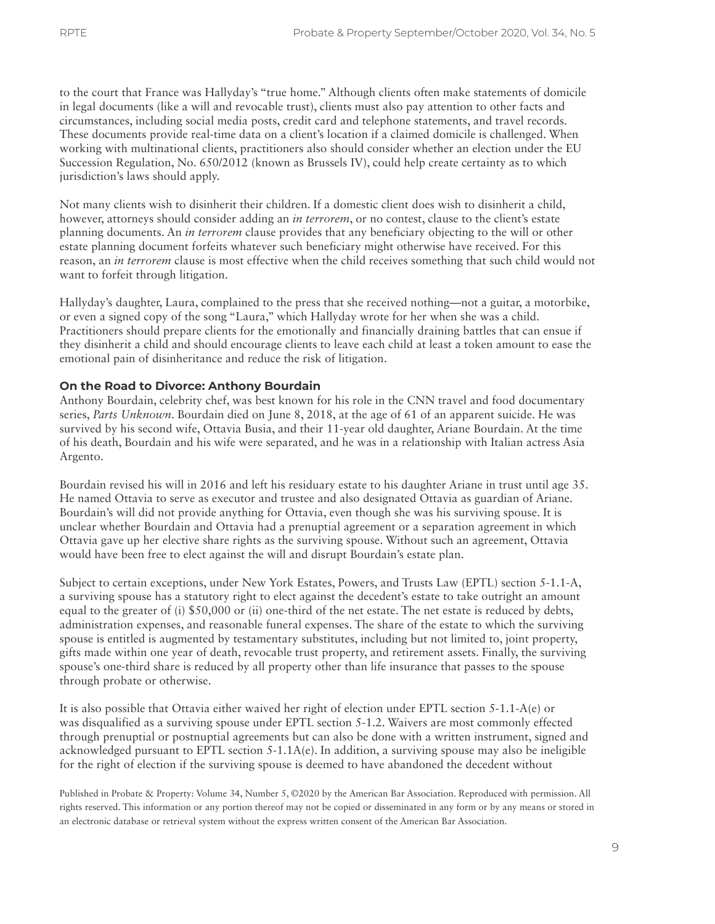to the court that France was Hallyday's "true home." Although clients often make statements of domicile in legal documents (like a will and revocable trust), clients must also pay attention to other facts and circumstances, including social media posts, credit card and telephone statements, and travel records. These documents provide real-time data on a client's location if a claimed domicile is challenged. When working with multinational clients, practitioners also should consider whether an election under the EU Succession Regulation, No. 650/2012 (known as Brussels IV), could help create certainty as to which jurisdiction's laws should apply.

Not many clients wish to disinherit their children. If a domestic client does wish to disinherit a child, however, attorneys should consider adding an *in terrorem*, or no contest, clause to the client's estate planning documents. An *in terrorem* clause provides that any beneficiary objecting to the will or other estate planning document forfeits whatever such beneficiary might otherwise have received. For this reason, an *in terrorem* clause is most effective when the child receives something that such child would not want to forfeit through litigation.

Hallyday's daughter, Laura, complained to the press that she received nothing—not a guitar, a motorbike, or even a signed copy of the song "Laura," which Hallyday wrote for her when she was a child. Practitioners should prepare clients for the emotionally and financially draining battles that can ensue if they disinherit a child and should encourage clients to leave each child at least a token amount to ease the emotional pain of disinheritance and reduce the risk of litigation.

### **On the Road to Divorce: Anthony Bourdain**

Anthony Bourdain, celebrity chef, was best known for his role in the CNN travel and food documentary series, *Parts Unknown*. Bourdain died on June 8, 2018, at the age of 61 of an apparent suicide. He was survived by his second wife, Ottavia Busia, and their 11-year old daughter, Ariane Bourdain. At the time of his death, Bourdain and his wife were separated, and he was in a relationship with Italian actress Asia Argento.

Bourdain revised his will in 2016 and left his residuary estate to his daughter Ariane in trust until age 35. He named Ottavia to serve as executor and trustee and also designated Ottavia as guardian of Ariane. Bourdain's will did not provide anything for Ottavia, even though she was his surviving spouse. It is unclear whether Bourdain and Ottavia had a prenuptial agreement or a separation agreement in which Ottavia gave up her elective share rights as the surviving spouse. Without such an agreement, Ottavia would have been free to elect against the will and disrupt Bourdain's estate plan.

Subject to certain exceptions, under New York Estates, Powers, and Trusts Law (EPTL) section 5-1.1-A, a surviving spouse has a statutory right to elect against the decedent's estate to take outright an amount equal to the greater of (i) \$50,000 or (ii) one-third of the net estate. The net estate is reduced by debts, administration expenses, and reasonable funeral expenses. The share of the estate to which the surviving spouse is entitled is augmented by testamentary substitutes, including but not limited to, joint property, gifts made within one year of death, revocable trust property, and retirement assets. Finally, the surviving spouse's one-third share is reduced by all property other than life insurance that passes to the spouse through probate or otherwise.

It is also possible that Ottavia either waived her right of election under EPTL section 5-1.1-A(e) or was disqualified as a surviving spouse under EPTL section 5-1.2. Waivers are most commonly effected through prenuptial or postnuptial agreements but can also be done with a written instrument, signed and acknowledged pursuant to EPTL section  $5-1.1A(e)$ . In addition, a surviving spouse may also be ineligible for the right of election if the surviving spouse is deemed to have abandoned the decedent without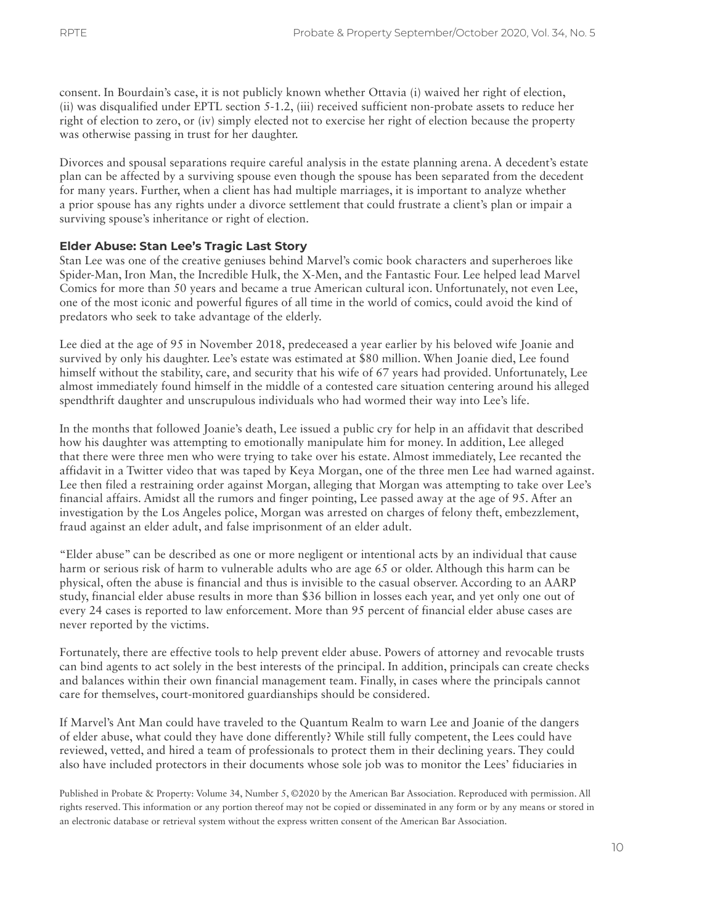consent. In Bourdain's case, it is not publicly known whether Ottavia (i) waived her right of election, (ii) was disqualified under EPTL section 5-1.2, (iii) received sufficient non-probate assets to reduce her right of election to zero, or (iv) simply elected not to exercise her right of election because the property was otherwise passing in trust for her daughter.

Divorces and spousal separations require careful analysis in the estate planning arena. A decedent's estate plan can be affected by a surviving spouse even though the spouse has been separated from the decedent for many years. Further, when a client has had multiple marriages, it is important to analyze whether a prior spouse has any rights under a divorce settlement that could frustrate a client's plan or impair a surviving spouse's inheritance or right of election.

### **Elder Abuse: Stan Lee's Tragic Last Story**

Stan Lee was one of the creative geniuses behind Marvel's comic book characters and superheroes like Spider-Man, Iron Man, the Incredible Hulk, the X-Men, and the Fantastic Four. Lee helped lead Marvel Comics for more than 50 years and became a true American cultural icon. Unfortunately, not even Lee, one of the most iconic and powerful figures of all time in the world of comics, could avoid the kind of predators who seek to take advantage of the elderly.

Lee died at the age of 95 in November 2018, predeceased a year earlier by his beloved wife Joanie and survived by only his daughter. Lee's estate was estimated at \$80 million. When Joanie died, Lee found himself without the stability, care, and security that his wife of 67 years had provided. Unfortunately, Lee almost immediately found himself in the middle of a contested care situation centering around his alleged spendthrift daughter and unscrupulous individuals who had wormed their way into Lee's life.

In the months that followed Joanie's death, Lee issued a public cry for help in an affidavit that described how his daughter was attempting to emotionally manipulate him for money. In addition, Lee alleged that there were three men who were trying to take over his estate. Almost immediately, Lee recanted the affidavit in a Twitter video that was taped by Keya Morgan, one of the three men Lee had warned against. Lee then filed a restraining order against Morgan, alleging that Morgan was attempting to take over Lee's financial affairs. Amidst all the rumors and finger pointing, Lee passed away at the age of 95. After an investigation by the Los Angeles police, Morgan was arrested on charges of felony theft, embezzlement, fraud against an elder adult, and false imprisonment of an elder adult.

"Elder abuse" can be described as one or more negligent or intentional acts by an individual that cause harm or serious risk of harm to vulnerable adults who are age 65 or older. Although this harm can be physical, often the abuse is financial and thus is invisible to the casual observer. According to an AARP study, financial elder abuse results in more than \$36 billion in losses each year, and yet only one out of every 24 cases is reported to law enforcement. More than 95 percent of financial elder abuse cases are never reported by the victims.

Fortunately, there are effective tools to help prevent elder abuse. Powers of attorney and revocable trusts can bind agents to act solely in the best interests of the principal. In addition, principals can create checks and balances within their own financial management team. Finally, in cases where the principals cannot care for themselves, court-monitored guardianships should be considered.

If Marvel's Ant Man could have traveled to the Quantum Realm to warn Lee and Joanie of the dangers of elder abuse, what could they have done differently? While still fully competent, the Lees could have reviewed, vetted, and hired a team of professionals to protect them in their declining years. They could also have included protectors in their documents whose sole job was to monitor the Lees' fiduciaries in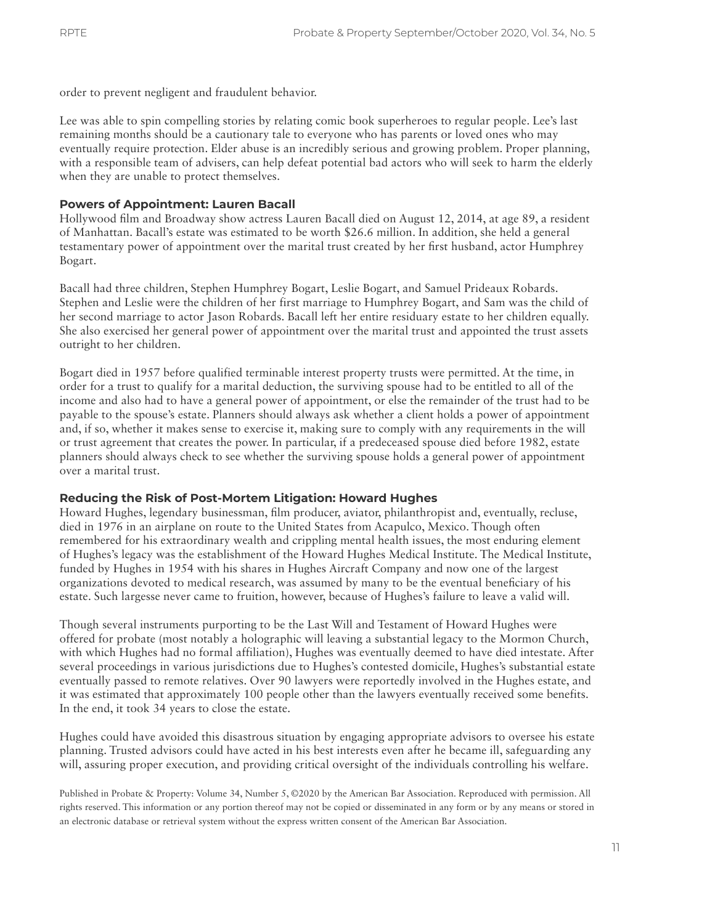order to prevent negligent and fraudulent behavior.

Lee was able to spin compelling stories by relating comic book superheroes to regular people. Lee's last remaining months should be a cautionary tale to everyone who has parents or loved ones who may eventually require protection. Elder abuse is an incredibly serious and growing problem. Proper planning, with a responsible team of advisers, can help defeat potential bad actors who will seek to harm the elderly when they are unable to protect themselves.

#### **Powers of Appointment: Lauren Bacall**

Hollywood film and Broadway show actress Lauren Bacall died on August 12, 2014, at age 89, a resident of Manhattan. Bacall's estate was estimated to be worth \$26.6 million. In addition, she held a general testamentary power of appointment over the marital trust created by her first husband, actor Humphrey Bogart.

Bacall had three children, Stephen Humphrey Bogart, Leslie Bogart, and Samuel Prideaux Robards. Stephen and Leslie were the children of her first marriage to Humphrey Bogart, and Sam was the child of her second marriage to actor Jason Robards. Bacall left her entire residuary estate to her children equally. She also exercised her general power of appointment over the marital trust and appointed the trust assets outright to her children.

Bogart died in 1957 before qualified terminable interest property trusts were permitted. At the time, in order for a trust to qualify for a marital deduction, the surviving spouse had to be entitled to all of the income and also had to have a general power of appointment, or else the remainder of the trust had to be payable to the spouse's estate. Planners should always ask whether a client holds a power of appointment and, if so, whether it makes sense to exercise it, making sure to comply with any requirements in the will or trust agreement that creates the power. In particular, if a predeceased spouse died before 1982, estate planners should always check to see whether the surviving spouse holds a general power of appointment over a marital trust.

### **Reducing the Risk of Post-Mortem Litigation: Howard Hughes**

Howard Hughes, legendary businessman, film producer, aviator, philanthropist and, eventually, recluse, died in 1976 in an airplane on route to the United States from Acapulco, Mexico. Though often remembered for his extraordinary wealth and crippling mental health issues, the most enduring element of Hughes's legacy was the establishment of the Howard Hughes Medical Institute. The Medical Institute, funded by Hughes in 1954 with his shares in Hughes Aircraft Company and now one of the largest organizations devoted to medical research, was assumed by many to be the eventual beneficiary of his estate. Such largesse never came to fruition, however, because of Hughes's failure to leave a valid will.

Though several instruments purporting to be the Last Will and Testament of Howard Hughes were offered for probate (most notably a holographic will leaving a substantial legacy to the Mormon Church, with which Hughes had no formal affiliation), Hughes was eventually deemed to have died intestate. After several proceedings in various jurisdictions due to Hughes's contested domicile, Hughes's substantial estate eventually passed to remote relatives. Over 90 lawyers were reportedly involved in the Hughes estate, and it was estimated that approximately 100 people other than the lawyers eventually received some benefits. In the end, it took 34 years to close the estate.

Hughes could have avoided this disastrous situation by engaging appropriate advisors to oversee his estate planning. Trusted advisors could have acted in his best interests even after he became ill, safeguarding any will, assuring proper execution, and providing critical oversight of the individuals controlling his welfare.